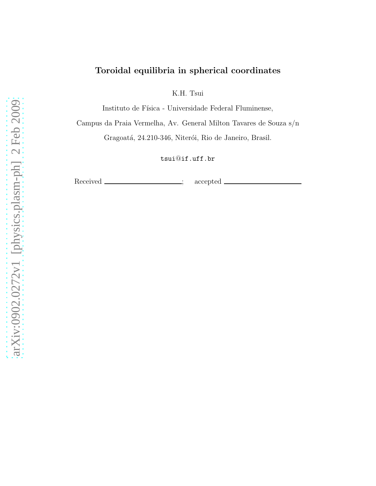# Toroidal equilibria in spherical coordinates

K.H. Tsui

Instituto de Física - Universidade Federal Fluminense,

Campus da Praia Vermelha, Av. General Milton Tavares de Souza s/n

Gragoatá, 24.210-346, Niterói, Rio de Janeiro, Brasil.

tsui@if.uff.br

Received \_\_\_\_\_\_\_\_\_\_\_\_\_\_\_\_; accepted .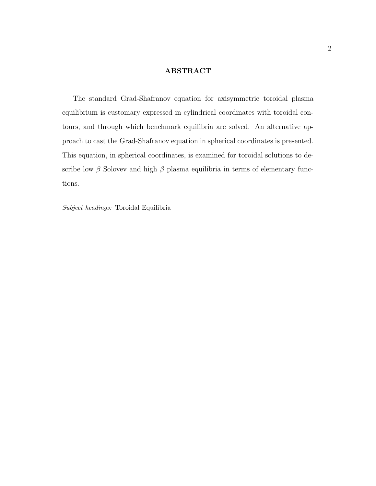## ABSTRACT

The standard Grad-Shafranov equation for axisymmetric toroidal plasma equilibrium is customary expressed in cylindrical coordinates with toroidal contours, and through which benchmark equilibria are solved. An alternative approach to cast the Grad-Shafranov equation in spherical coordinates is presented. This equation, in spherical coordinates, is examined for toroidal solutions to describe low  $\beta$  Solovev and high  $\beta$  plasma equilibria in terms of elementary functions.

Subject headings: Toroidal Equilibria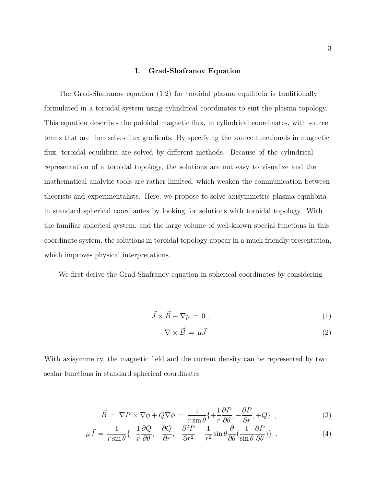### I. Grad-Shafranov Equation

The Grad-Shafranov equation (1,2) for toroidal plasma equilibria is traditionally formulated in a toroidal system using cylindrical coordinates to suit the plasma topology. This equation describes the poloidal magnetic flux, in cylindrical coordinates, with source terms that are themselves flux gradients. By specifying the source functionals in magnetic flux, toroidal equilibria are solved by different methods. Because of the cylindrical representation of a toroidal topology, the solutions are not easy to visualize and the mathematical analytic tools are rather limilted, which weaken the communication between theorists and experimentalists. Here, we propose to solve axisymmetric plasma equilibria in standard spherical coordiantes by looking for solutions with toroidal topology. With the familiar spherical system, and the large volume of well-known special functions in this coordinate system, the solutions in toroidal topology appear in a much friendly presentation, which improves physical interpretations.

We first derive the Grad-Shafranov equation in spherical coordinates by considering

$$
\vec{J} \times \vec{B} - \nabla p = 0 \tag{1}
$$

$$
\nabla \times \vec{B} = \mu \vec{J} \tag{2}
$$

With axisymmetry, the magnetic field and the current density can be represented by two scalar functions in standard spherical coordinates

<span id="page-2-0"></span>
$$
\vec{B} = \nabla P \times \nabla \phi + Q \nabla \phi = \frac{1}{r \sin \theta} \{ + \frac{1}{r} \frac{\partial P}{\partial \theta}, -\frac{\partial P}{\partial r}, +Q \} , \qquad (3)
$$

$$
\mu \vec{J} = \frac{1}{r \sin \theta} \{ + \frac{1}{r} \frac{\partial Q}{\partial \theta}, -\frac{\partial Q}{\partial r}, -\frac{\partial^2 P}{\partial r^2} - \frac{1}{r^2} \sin \theta \frac{\partial}{\partial \theta} \left( \frac{1}{\sin \theta} \frac{\partial P}{\partial \theta} \right) \} \quad . \tag{4}
$$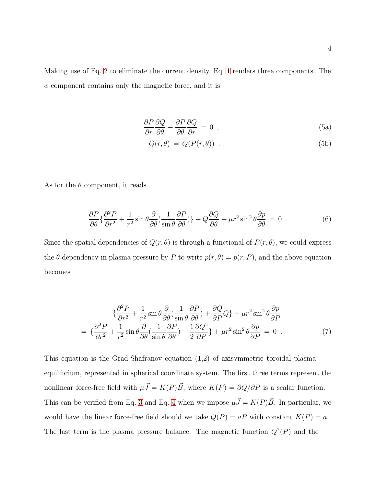Making use of Eq. [2](#page-3-0) to eliminate the current density, Eq. [1](#page-3-0) renders three components. The  $\phi$  component contains only the magnetic force, and it is

<span id="page-3-0"></span>
$$
\frac{\partial P}{\partial r}\frac{\partial Q}{\partial \theta} - \frac{\partial P}{\partial \theta}\frac{\partial Q}{\partial r} = 0 \tag{5a}
$$

$$
Q(r,\theta) = Q(P(r,\theta)) . \tag{5b}
$$

As for the  $\theta$  component, it reads

$$
\frac{\partial P}{\partial \theta} \left\{ \frac{\partial^2 P}{\partial r^2} + \frac{1}{r^2} \sin \theta \frac{\partial}{\partial \theta} \left( \frac{1}{\sin \theta} \frac{\partial P}{\partial \theta} \right) \right\} + Q \frac{\partial Q}{\partial \theta} + \mu r^2 \sin^2 \theta \frac{\partial p}{\partial \theta} = 0 \quad . \tag{6}
$$

Since the spatial dependencies of  $Q(r, \theta)$  is through a functional of  $P(r, \theta)$ , we could express the  $\theta$  dependency in plasma pressure by P to write  $p(r, \theta) = p(r, P)$ , and the above equation becomes

<span id="page-3-1"></span>
$$
\{\frac{\partial^2 P}{\partial r^2} + \frac{1}{r^2} \sin \theta \frac{\partial}{\partial \theta} \left( \frac{1}{\sin \theta} \frac{\partial P}{\partial \theta} \right) + \frac{\partial Q}{\partial P} Q \} + \mu r^2 \sin^2 \theta \frac{\partial p}{\partial P} \n= \{\frac{\partial^2 P}{\partial r^2} + \frac{1}{r^2} \sin \theta \frac{\partial}{\partial \theta} \left( \frac{1}{\sin \theta} \frac{\partial P}{\partial \theta} \right) + \frac{1}{2} \frac{\partial Q^2}{\partial P} \} + \mu r^2 \sin^2 \theta \frac{\partial p}{\partial P} = 0
$$
\n(7)

This equation is the Grad-Shafranov equation (1,2) of axisymmetric toroidal plasma equilibrium, represented in spherical coordinate system. The first three terms represent the nonlinear force-free field with  $\mu \vec{J} = K(P) \vec{B}$ , where  $K(P) = \partial Q/\partial P$  is a scalar function. This can be verified from Eq. [3](#page-2-0) and Eq. [4](#page-2-0) when we impose  $\mu \vec{J} = K(P)\vec{B}$ . In particular, we would have the linear force-free field should we take  $Q(P) = aP$  with constant  $K(P) = a$ . The last term is the plasma pressure balance. The magnetic function  $Q^2(P)$  and the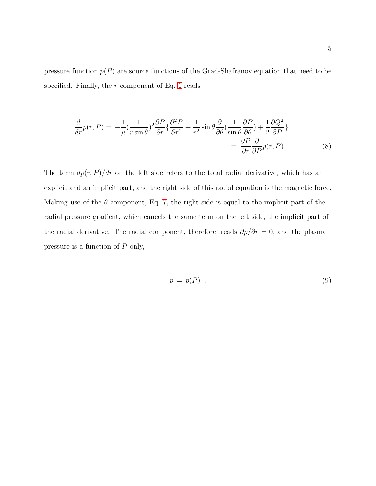pressure function  $p(P)$  are source functions of the Grad-Shafranov equation that need to be specified. Finally, the  $r$  component of Eq. [1](#page-3-0) reads

$$
\frac{d}{dr}p(r,P) = -\frac{1}{\mu} \left(\frac{1}{r\sin\theta}\right)^2 \frac{\partial P}{\partial r} \left\{\frac{\partial^2 P}{\partial r^2} + \frac{1}{r^2}\sin\theta \frac{\partial}{\partial \theta} \left(\frac{1}{\sin\theta} \frac{\partial P}{\partial \theta}\right) + \frac{1}{2} \frac{\partial Q^2}{\partial P}\right\}
$$
\n
$$
= \frac{\partial P}{\partial r} \frac{\partial}{\partial P} p(r,P) \tag{8}
$$

The term  $dp(r, P)/dr$  on the left side refers to the total radial derivative, which has an explicit and an implicit part, and the right side of this radial equation is the magnetic force. Making use of the  $\theta$  component, Eq. [7,](#page-3-1) the right side is equal to the implicit part of the radial pressure gradient, which cancels the same term on the left side, the implicit part of the radial derivative. The radial component, therefore, reads  $\partial p/\partial r = 0$ , and the plasma pressure is a function of P only,

$$
p = p(P) \tag{9}
$$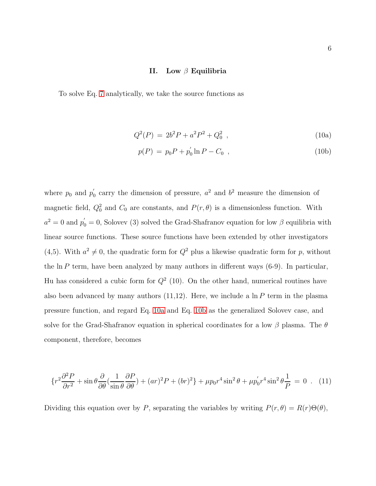### II. Low  $\beta$  Equilibria

To solve Eq. [7](#page-3-1) analytically, we take the source functions as

$$
Q^2(P) = 2b^2P + a^2P^2 + Q_0^2 \t\t(10a)
$$

$$
p(P) = p_0 P + p'_0 \ln P - C_0 \t\t(10b)
$$

where  $p_0$  and  $p'_0$  $\sigma_0'$  carry the dimension of pressure,  $a^2$  and  $b^2$  measure the dimension of magnetic field,  $Q_0^2$  and  $C_0$  are constants, and  $P(r, \theta)$  is a dimensionless function. With  $a^2 = 0$  and  $p'_0 = 0$ , Solovev (3) solved the Grad-Shafranov equation for low  $\beta$  equilibria with linear source functions. These source functions have been extended by other investigators (4,5). With  $a^2 \neq 0$ , the quadratic form for  $Q^2$  plus a likewise quadratic form for p, without the  $\ln P$  term, have been analyzed by many authors in different ways (6-9). In particular, Hu has considered a cubic form for  $Q^2$  (10). On the other hand, numerical routines have also been advanced by many authors  $(11,12)$ . Here, we include a ln P term in the plasma pressure function, and regard Eq. [10a](#page-7-0) and Eq. [10b](#page-7-0) as the generalized Solovev case, and solve for the Grad-Shafranov equation in spherical coordinates for a low  $\beta$  plasma. The  $\theta$ component, therefore, becomes

$$
\left\{r^2\frac{\partial^2 P}{\partial r^2} + \sin\theta \frac{\partial}{\partial \theta} \left(\frac{1}{\sin\theta} \frac{\partial P}{\partial \theta}\right) + (ar)^2 P + (br)^2\right\} + \mu p_0 r^4 \sin^2\theta + \mu p_0' r^4 \sin^2\theta \frac{1}{P} = 0 \quad (11)
$$

Dividing this equation over by P, separating the variables by writing  $P(r, \theta) = R(r)\Theta(\theta)$ ,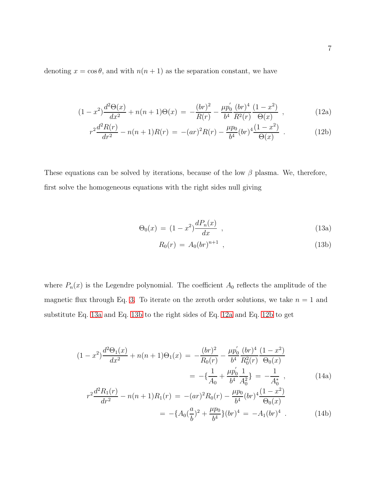denoting  $x = \cos \theta$ , and with  $n(n + 1)$  as the separation constant, we have

$$
(1-x^2)\frac{d^2\Theta(x)}{dx^2} + n(n+1)\Theta(x) = -\frac{(br)^2}{R(r)} - \frac{\mu p'_0}{b^4} \frac{(br)^4}{R^2(r)} \frac{(1-x^2)}{\Theta(x)} , \qquad (12a)
$$

$$
r^{2}\frac{d^{2}R(r)}{dr^{2}} - n(n+1)R(r) = -(ar)^{2}R(r) - \frac{\mu p_{0}}{b^{4}}(br)^{4}\frac{(1-x^{2})}{\Theta(x)} . \qquad (12b)
$$

These equations can be solved by iterations, because of the low  $\beta$  plasma. We, therefore, first solve the homogeneous equations with the right sides null giving

$$
\Theta_0(x) = (1 - x^2) \frac{dP_n(x)}{dx} , \qquad (13a)
$$

$$
R_0(r) = A_0(br)^{n+1} \t\t(13b)
$$

where  $P_n(x)$  is the Legendre polynomial. The coefficient  $A_0$  reflects the amplitude of the magnetic flux through Eq. [3.](#page-2-0) To iterate on the zeroth order solutions, we take  $n = 1$  and substitute Eq. [13a](#page-7-0) and Eq. [13b](#page-7-0) to the right sides of Eq. [12a](#page-7-0) and Eq. [12b](#page-7-0) to get

$$
(1-x^2)\frac{d^2\Theta_1(x)}{dx^2} + n(n+1)\Theta_1(x) = -\frac{(br)^2}{R_0(r)} - \frac{\mu p'_0}{b^4} \frac{(br)^4}{R_0^2(r)} \frac{(1-x^2)}{\Theta_0(x)}
$$
  

$$
= -\{\frac{1}{A_0} + \frac{\mu p'_0}{b^4} \frac{1}{A_0^2}\} = -\frac{1}{A_0^*}, \qquad (14a)
$$
  

$$
r^2 \frac{d^2R_1(r)}{dr^2} - n(n+1)R_1(r) = -(ar)^2R_0(r) - \frac{\mu p_0}{b^4}(br)^4 \frac{(1-x^2)}{\Theta_0(x)}
$$
  

$$
= -\{A_0(\frac{a}{b})^2 + \frac{\mu p_0}{b^4}\}(br)^4 = -A_1(br)^4.
$$
 (14b)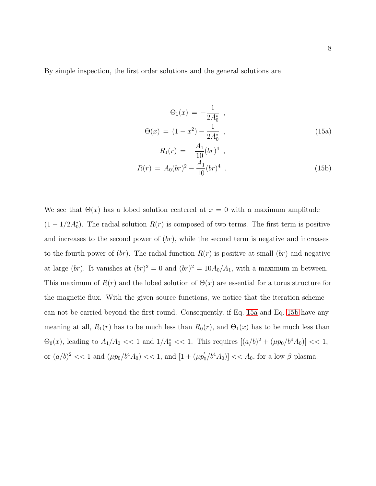By simple inspection, the first order solutions and the general solutions are

<span id="page-7-0"></span>
$$
\Theta_1(x) = -\frac{1}{2A_0^*} ,
$$
  
\n
$$
\Theta(x) = (1 - x^2) - \frac{1}{2A_0^*} ,
$$
  
\n
$$
R_1(r) = -\frac{A_1}{10} (br)^4 ,
$$
  
\n(15a)

$$
R(r) = A_0 (br)^2 - \frac{A_1}{10} (br)^4 \tag{15b}
$$

We see that  $\Theta(x)$  has a lobed solution centered at  $x = 0$  with a maximum amplitude  $(1 - 1/2A_0^*)$ . The radial solution  $R(r)$  is composed of two terms. The first term is positive and increases to the second power of  $(br)$ , while the second term is negative and increases to the fourth power of  $(br)$ . The radial function  $R(r)$  is positive at small  $(br)$  and negative at large (br). It vanishes at  $(br)^2 = 0$  and  $(br)^2 = 10A_0/A_1$ , with a maximum in between. This maximum of  $R(r)$  and the lobed solution of  $\Theta(x)$  are essential for a torus structure for the magnetic flux. With the given source functions, we notice that the iteration scheme can not be carried beyond the first round. Consequently, if Eq. [15a](#page-7-0) and Eq. [15b](#page-7-0) have any meaning at all,  $R_1(r)$  has to be much less than  $R_0(r)$ , and  $\Theta_1(x)$  has to be much less than  $\Theta_0(x)$ , leading to  $A_1/A_0 \ll 1$  and  $1/A_0^* \ll 1$ . This requires  $[(a/b)^2 + (\mu p_0/b^4 A_0)] \ll 1$ , or  $(a/b)^2 \ll 1$  and  $(\mu p_0/b^4 A_0) \ll 1$ , and  $[1 + (\mu p_0/b^4 A_0)] \ll A_0$ , for a low  $\beta$  plasma.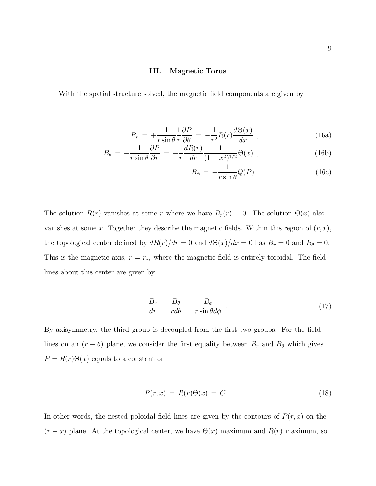### III. Magnetic Torus

With the spatial structure solved, the magnetic field components are given by

<span id="page-8-0"></span>
$$
B_r = +\frac{1}{r\sin\theta} \frac{1}{r} \frac{\partial P}{\partial \theta} = -\frac{1}{r^2} R(r) \frac{d\Theta(x)}{dx} , \qquad (16a)
$$

$$
B_{\theta} = -\frac{1}{r\sin\theta} \frac{\partial P}{\partial r} = -\frac{1}{r} \frac{dR(r)}{dr} \frac{1}{(1-x^2)^{1/2}} \Theta(x) , \qquad (16b)
$$

$$
B_{\phi} = +\frac{1}{r \sin \theta} Q(P) \tag{16c}
$$

The solution  $R(r)$  vanishes at some r where we have  $B_r(r) = 0$ . The solution  $\Theta(x)$  also vanishes at some x. Together they describe the magnetic fields. Within this region of  $(r, x)$ , the topological center defined by  $dR(r)/dr = 0$  and  $d\Theta(x)/dx = 0$  has  $B_r = 0$  and  $B_\theta = 0$ . This is the magnetic axis,  $r = r_*$ , where the magnetic field is entirely toroidal. The field lines about this center are given by

<span id="page-8-2"></span>
$$
\frac{B_r}{dr} = \frac{B_\theta}{rd\theta} = \frac{B_\phi}{r\sin\theta d\phi} \tag{17}
$$

By axisymmetry, the third group is decoupled from the first two groups. For the field lines on an  $(r - \theta)$  plane, we consider the first equality between  $B_r$  and  $B_\theta$  which gives  $P = R(r)\Theta(x)$  equals to a constant or

<span id="page-8-1"></span>
$$
P(r,x) = R(r)\Theta(x) = C \t\t(18)
$$

In other words, the nested poloidal field lines are given by the contours of  $P(r, x)$  on the  $(r - x)$  plane. At the topological center, we have  $\Theta(x)$  maximum and  $R(r)$  maximum, so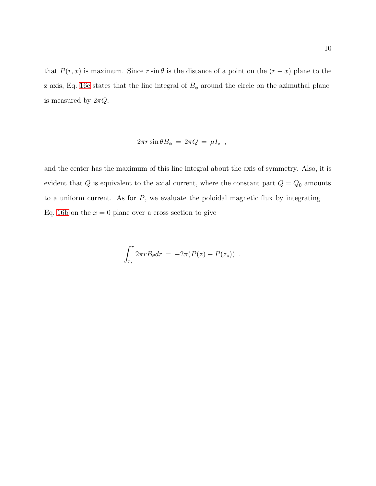that  $P(r, x)$  is maximum. Since  $r \sin \theta$  is the distance of a point on the  $(r - x)$  plane to the z axis, Eq. [16c](#page-8-0) states that the line integral of  $B_{\phi}$  around the circle on the azimuthal plane is measured by  $2\pi Q,$ 

$$
2\pi r \sin \theta B_{\phi} = 2\pi Q = \mu I_z ,
$$

and the center has the maximum of this line integral about the axis of symmetry. Also, it is evident that  $Q$  is equivalent to the axial current, where the constant part  $Q = Q_0$  amounts to a uniform current. As for  $P$ , we evaluate the poloidal magnetic flux by integrating Eq. [16b](#page-8-0) on the  $x = 0$  plane over a cross section to give

$$
\int_{r_*}^{r} 2\pi r B_{\theta} dr = -2\pi (P(z) - P(z_*)) .
$$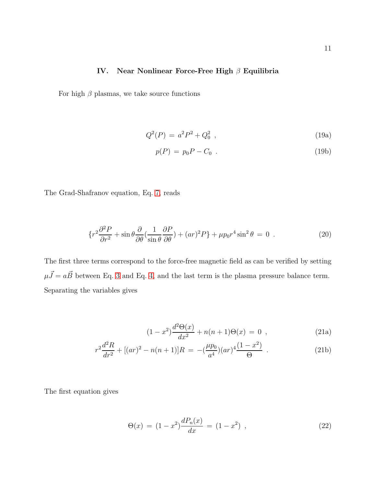### IV. Near Nonlinear Force-Free High β Equilibria

For high  $\beta$  plasmas, we take source functions

$$
Q^2(P) = a^2 P^2 + Q_0^2 \t\t(19a)
$$

$$
p(P) = p_0 P - C_0 \tag{19b}
$$

The Grad-Shafranov equation, Eq. [7,](#page-3-1) reads

<span id="page-10-0"></span>
$$
\left\{r^2\frac{\partial^2 P}{\partial r^2} + \sin\theta \frac{\partial}{\partial \theta} \left(\frac{1}{\sin\theta} \frac{\partial P}{\partial \theta}\right) + (ar)^2 P\right\} + \mu p_0 r^4 \sin^2\theta = 0 \tag{20}
$$

The first three terms correspond to the force-free magnetic field as can be verified by setting  $\mu \vec{J} = a\vec{B}$  between Eq. [3](#page-2-0) and Eq. [4,](#page-2-0) and the last term is the plasma pressure balance term. Separating the variables gives

<span id="page-10-2"></span>
$$
(1 - x2)\frac{d^{2}\Theta(x)}{dx^{2}} + n(n+1)\Theta(x) = 0 , \qquad (21a)
$$

$$
r^{2}\frac{d^{2}R}{dr^{2}} + [(ar)^{2} - n(n+1)]R = -(\frac{\mu p_{0}}{a^{4}})(ar)^{4}\frac{(1-x^{2})}{\Theta}.
$$
 (21b)

The first equation gives

<span id="page-10-1"></span>
$$
\Theta(x) = (1 - x^2) \frac{dP_n(x)}{dx} = (1 - x^2) , \qquad (22)
$$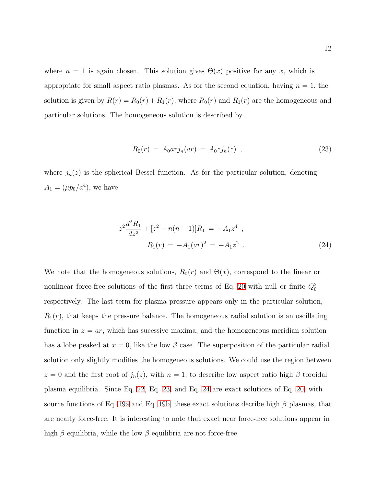where  $n = 1$  is again chosen. This solution gives  $\Theta(x)$  positive for any x, which is appropriate for small aspect ratio plasmas. As for the second equation, having  $n = 1$ , the solution is given by  $R(r) = R_0(r) + R_1(r)$ , where  $R_0(r)$  and  $R_1(r)$  are the homogeneous and particular solutions. The homogeneous solution is described by

<span id="page-11-0"></span>
$$
R_0(r) = A_0 arj_n(ar) = A_0 zj_n(z) , \qquad (23)
$$

where  $j_n(z)$  is the spherical Bessel function. As for the particular solution, denoting  $A_1 = (\mu p_0/a^4)$ , we have

<span id="page-11-1"></span>
$$
z^{2} \frac{d^{2} R_{1}}{dz^{2}} + [z^{2} - n(n+1)]R_{1} = -A_{1} z^{4} ,
$$
  
\n
$$
R_{1}(r) = -A_{1}(ar)^{2} = -A_{1} z^{2} .
$$
\n(24)

We note that the homogeneous solutions,  $R_0(r)$  and  $\Theta(x)$ , correspond to the linear or nonlinear force-free solutions of the first three terms of Eq. [20](#page-10-0) with null or finite  $Q_0^2$ respectively. The last term for plasma pressure appears only in the particular solution,  $R_1(r)$ , that keeps the pressure balance. The homogeneous radial solution is an oscillating function in  $z = ar$ , which has sucessive maxima, and the homogeneous meridian solution has a lobe peaked at  $x = 0$ , like the low  $\beta$  case. The superposition of the particular radial solution only slightly modifies the homogeneous solutions. We could use the region between  $z = 0$  and the first root of  $j_n(z)$ , with  $n = 1$ , to describe low aspect ratio high  $\beta$  toroidal plasma equilibria. Since Eq. [22,](#page-10-1) Eq. [23,](#page-11-0) and Eq. [24](#page-11-1) are exact solutions of Eq. [20,](#page-10-0) with source functions of Eq. [19a](#page-10-2) and Eq. [19b,](#page-10-2) these exact solutions decribe high  $\beta$  plasmas, that are nearly force-free. It is interesting to note that exact near force-free solutions appear in high  $\beta$  equilibria, while the low  $\beta$  equilibria are not force-free.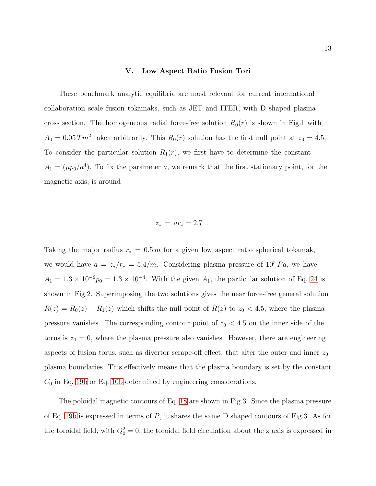### V. Low Aspect Ratio Fusion Tori

These benchmark analytic equilibria are most relevant for current international collaboration scale fusion tokamaks, such as JET and ITER, with D shaped plasma cross section. The homogeneous radial force-free solution  $R_0(r)$  is shown in Fig.1 with  $A_0 = 0.05$  Tm<sup>2</sup> taken arbitrarily. This  $R_0(r)$  solution has the first null point at  $z_0 = 4.5$ . To consider the particular solution  $R_1(r)$ , we first have to determine the constant  $A_1 = (\mu p_0/a^4)$ . To fix the parameter a, we remark that the first stationary point, for the magnetic axis, is around

$$
z_* = ar_* = 2.7 .
$$

Taking the major radius  $r_* = 0.5 \, \text{m}$  for a given low aspect ratio spherical tokamak, we would have  $a = z_*/r_* = 5.4/m$ . Considering plasma pressure of  $10^5 Pa$ , we have  $A_1 = 1.3 \times 10^{-9} p_0 = 1.3 \times 10^{-4}$ . With the given  $A_1$ , the particular solution of Eq. [24](#page-11-1) is shown in Fig.2. Superimposing the two solutions gives the near force-free general solution  $R(z) = R_0(z) + R_1(z)$  which shifts the null point of  $R(z)$  to  $z_0 < 4.5$ , where the plasma pressure vanishes. The corresponding contour point of  $z_0 < 4.5$  on the inner side of the torus is  $z_0 = 0$ , where the plasma pressure also vanishes. However, there are engineering aspects of fusion torus, such as divertor scrape-off effect, that alter the outer and inner  $z_0$ plasma boundaries. This effectively means that the plasma boundary is set by the constant  $C_0$  in Eq. [19b](#page-10-2) or Eq. [10b](#page-7-0) determined by engineering considerations.

The poloidal magnetic contours of Eq. [18](#page-8-1) are shown in Fig.3. Since the plasma pressure of Eq. [19b](#page-10-2) is expressed in terms of  $P$ , it shares the same D shaped contours of Fig.3. As for the toroidal field, with  $Q_0^2 = 0$ , the toroidal field circulation about the z axis is expressed in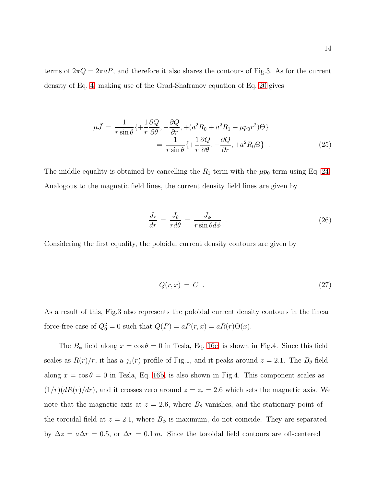terms of  $2\pi Q = 2\pi aP$ , and therefore it also shares the contours of Fig.3. As for the current density of Eq. [4,](#page-2-0) making use of the Grad-Shafranov equation of Eq. [20](#page-10-0) gives

$$
\mu \vec{J} = \frac{1}{r \sin \theta} \{ + \frac{1}{r} \frac{\partial Q}{\partial \theta}, -\frac{\partial Q}{\partial r}, + (a^2 R_0 + a^2 R_1 + \mu p_0 r^2) \Theta \}
$$

$$
= \frac{1}{r \sin \theta} \{ + \frac{1}{r} \frac{\partial Q}{\partial \theta}, -\frac{\partial Q}{\partial r}, +a^2 R_0 \Theta \} .
$$
(25)

The middle equality is obtained by cancelling the  $R_1$  term with the  $\mu p_0$  term using Eq. [24.](#page-11-1) Analogous to the magnetic field lines, the current density field lines are given by

$$
\frac{J_r}{dr} = \frac{J_\theta}{rd\theta} = \frac{J_\phi}{r\sin\theta d\phi} \tag{26}
$$

Considering the first equality, the poloidal current density contours are given by

$$
Q(r,x) = C \tag{27}
$$

As a result of this, Fig.3 also represents the poloidal current density contours in the linear force-free case of  $Q_0^2 = 0$  such that  $Q(P) = aP(r, x) = aR(r)\Theta(x)$ .

The  $B_{\phi}$  field along  $x = \cos \theta = 0$  in Tesla, Eq. [16c,](#page-8-0) is shown in Fig.4. Since this field scales as  $R(r)/r$ , it has a  $j_1(r)$  profile of Fig.1, and it peaks around  $z = 2.1$ . The  $B_{\theta}$  field along  $x = \cos \theta = 0$  in Tesla, Eq. [16b,](#page-8-0) is also shown in Fig.4. This component scales as  $(1/r)(dR(r)/dr)$ , and it crosses zero around  $z = z_* = 2.6$  which sets the magnetic axis. We note that the magnetic axis at  $z = 2.6$ , where  $B_{\theta}$  vanishes, and the stationary point of the toroidal field at  $z = 2.1$ , where  $B_{\phi}$  is maximum, do not coincide. They are separated by  $\Delta z = a\Delta r = 0.5$ , or  $\Delta r = 0.1$  m. Since the toroidal field contours are off-centered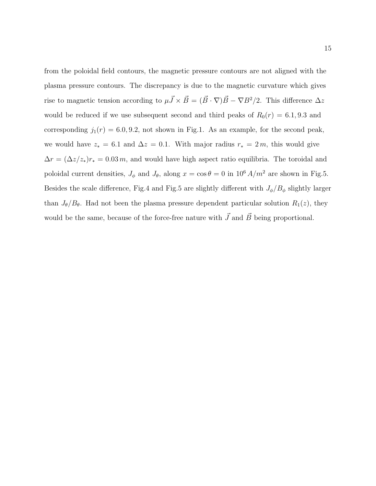from the poloidal field contours, the magnetic pressure contours are not aligned with the plasma pressure contours. The discrepancy is due to the magnetic curvature which gives rise to magnetic tension according to  $\mu \vec{J} \times \vec{B} = (\vec{B} \cdot \nabla) \vec{B} - \nabla B^2/2$ . This difference  $\Delta z$ would be reduced if we use subsequent second and third peaks of  $R_0(r) = 6.1, 9.3$  and corresponding  $j_1(r) = 6.0, 9.2$ , not shown in Fig.1. As an example, for the second peak, we would have  $z_* = 6.1$  and  $\Delta z = 0.1$ . With major radius  $r_* = 2m$ , this would give  $\Delta r = (\Delta z/z_*)r_* = 0.03 m$ , and would have high aspect ratio equilibria. The toroidal and poloidal current densities,  $J_{\phi}$  and  $J_{\theta}$ , along  $x = \cos \theta = 0$  in  $10^6 A/m^2$  are shown in Fig.5. Besides the scale difference, Fig.4 and Fig.5 are slightly different with  $J_{\phi}/B_{\phi}$  slightly larger than  $J_{\theta}/B_{\theta}$ . Had not been the plasma pressure dependent particular solution  $R_1(z)$ , they would be the same, because of the force-free nature with  $\vec{J}$  and  $\vec{B}$  being proportional.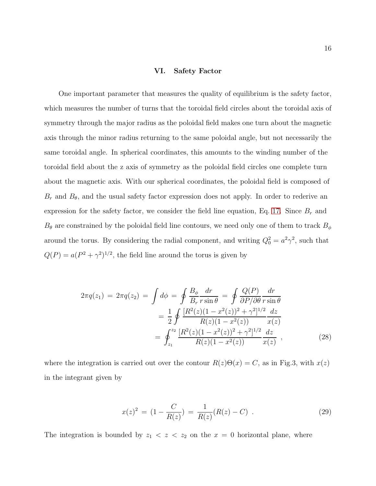### VI. Safety Factor

One important parameter that measures the quality of equilibrium is the safety factor, which measures the number of turns that the toroidal field circles about the toroidal axis of symmetry through the major radius as the poloidal field makes one turn about the magnetic axis through the minor radius returning to the same poloidal angle, but not necessarily the same toroidal angle. In spherical coordinates, this amounts to the winding number of the toroidal field about the z axis of symmetry as the poloidal field circles one complete turn about the magnetic axis. With our spherical coordinates, the poloidal field is composed of  $B_r$  and  $B_\theta$ , and the usual safety factor expression does not apply. In order to rederive an expression for the safety factor, we consider the field line equation, Eq. [17.](#page-8-2) Since  $B_r$  and  $B_{\theta}$  are constrained by the poloidal field line contours, we need only one of them to track  $B_{\phi}$ around the torus. By considering the radial component, and writing  $Q_0^2 = a^2 \gamma^2$ , such that  $Q(P) = a(P^2 + \gamma^2)^{1/2}$ , the field line around the torus is given by

<span id="page-15-0"></span>
$$
2\pi q(z_1) = 2\pi q(z_2) = \int d\phi = \oint \frac{B_{\phi}}{B_r} \frac{dr}{r \sin \theta} = \oint \frac{Q(P)}{\partial P/\partial \theta} \frac{dr}{r \sin \theta}
$$

$$
= \frac{1}{2} \oint \frac{[R^2(z)(1 - x^2(z))^2 + \gamma^2]^{1/2}}{R(z)(1 - x^2(z))} \frac{dz}{x(z)}
$$

$$
= \oint_{z_1}^{z_2} \frac{[R^2(z)(1 - x^2(z))^2 + \gamma^2]^{1/2}}{R(z)(1 - x^2(z))} \frac{dz}{x(z)}, \tag{28}
$$

where the integration is carried out over the contour  $R(z)\Theta(x) = C$ , as in Fig.3, with  $x(z)$ in the integrant given by

$$
x(z)^{2} = (1 - \frac{C}{R(z)}) = \frac{1}{R(z)}(R(z) - C) . \qquad (29)
$$

The integration is bounded by  $z_1 < z < z_2$  on the  $x = 0$  horizontal plane, where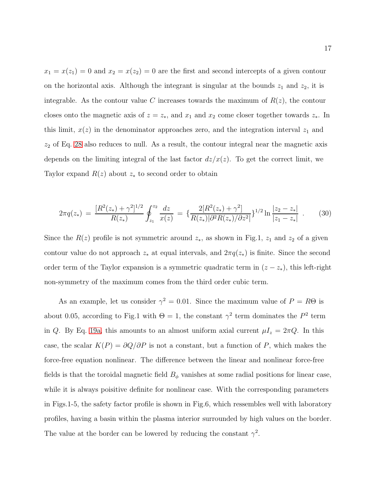$x_1 = x(z_1) = 0$  and  $x_2 = x(z_2) = 0$  are the first and second intercepts of a given contour on the horizontal axis. Although the integrant is singular at the bounds  $z_1$  and  $z_2$ , it is integrable. As the contour value C increases towards the maximum of  $R(z)$ , the contour closes onto the magnetic axis of  $z = z_*$ , and  $x_1$  and  $x_2$  come closer together towards  $z_*$ . In this limit,  $x(z)$  in the denominator approaches zero, and the integration interval  $z<sub>1</sub>$  and  $z_2$  of Eq. [28](#page-15-0) also reduces to null. As a result, the contour integral near the magnetic axis depends on the limiting integral of the last factor  $dz/x(z)$ . To get the correct limit, we Taylor expand  $R(z)$  about  $z_*$  to second order to obtain

$$
2\pi q(z_*) = \frac{[R^2(z_*) + \gamma^2]^{1/2}}{R(z_*)} \oint_{z_1}^{z_2} \frac{dz}{x(z)} = \left\{ \frac{2[R^2(z_*) + \gamma^2]}{R(z_*)|\partial^2 R(z_*)/\partial z^2} \right\}^{1/2} \ln \frac{|z_2 - z_*|}{|z_1 - z_*|} \ . \tag{30}
$$

Since the  $R(z)$  profile is not symmetric around  $z_*$ , as shown in Fig.1,  $z_1$  and  $z_2$  of a given contour value do not approach  $z_*$  at equal intervals, and  $2\pi q(z_*)$  is finite. Since the second order term of the Taylor expansion is a symmetric quadratic term in  $(z - z_*)$ , this left-right non-symmetry of the maximum comes from the third order cubic term.

As an example, let us consider  $\gamma^2 = 0.01$ . Since the maximum value of  $P = R\Theta$  is about 0.05, according to Fig.1 with  $\Theta = 1$ , the constant  $\gamma^2$  term dominates the  $P^2$  term in Q. By Eq. [19a,](#page-10-2) this amounts to an almost uniform axial current  $\mu I_z = 2\pi Q$ . In this case, the scalar  $K(P) = \partial Q/\partial P$  is not a constant, but a function of P, which makes the force-free equation nonlinear. The difference between the linear and nonlinear force-free fields is that the toroidal magnetic field  $B_{\phi}$  vanishes at some radial positions for linear case, while it is always poisitive definite for nonlinear case. With the corresponding parameters in Figs.1-5, the safety factor profile is shown in Fig.6, which ressembles well with laboratory profiles, having a basin within the plasma interior surrounded by high values on the border. The value at the border can be lowered by reducing the constant  $\gamma^2$ .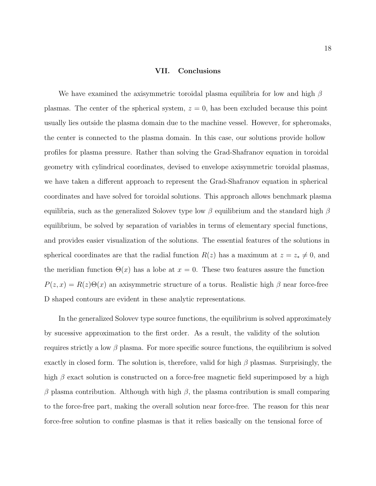### VII. Conclusions

We have examined the axisymmetric toroidal plasma equilibria for low and high  $\beta$ plasmas. The center of the spherical system,  $z = 0$ , has been excluded because this point usually lies outside the plasma domain due to the machine vessel. However, for spheromaks, the center is connected to the plasma domain. In this case, our solutions provide hollow profiles for plasma pressure. Rather than solving the Grad-Shafranov equation in toroidal geometry with cylindrical coordinates, devised to envelope axisymmetric toroidal plasmas, we have taken a different approach to represent the Grad-Shafranov equation in spherical coordinates and have solved for toroidal solutions. This approach allows benchmark plasma equilibria, such as the generalized Solovev type low  $\beta$  equilibrium and the standard high  $\beta$ equilibrium, be solved by separation of variables in terms of elementary special functions, and provides easier visualization of the solutions. The essential features of the solutions in spherical coordinates are that the radial function  $R(z)$  has a maximum at  $z = z_* \neq 0$ , and the meridian function  $\Theta(x)$  has a lobe at  $x = 0$ . These two features assure the function  $P(z, x) = R(z)\Theta(x)$  an axisymmetric structure of a torus. Realistic high  $\beta$  near force-free D shaped contours are evident in these analytic representations.

In the generalized Solovev type source functions, the equilibrium is solved approximately by sucessive approximation to the first order. As a result, the validity of the solution requires strictly a low  $\beta$  plasma. For more specific source functions, the equilibrium is solved exactly in closed form. The solution is, therefore, valid for high  $\beta$  plasmas. Surprisingly, the high  $\beta$  exact solution is constructed on a force-free magnetic field superimposed by a high β plasma contribution. Although with high β, the plasma contribution is small comparing to the force-free part, making the overall solution near force-free. The reason for this near force-free solution to confine plasmas is that it relies basically on the tensional force of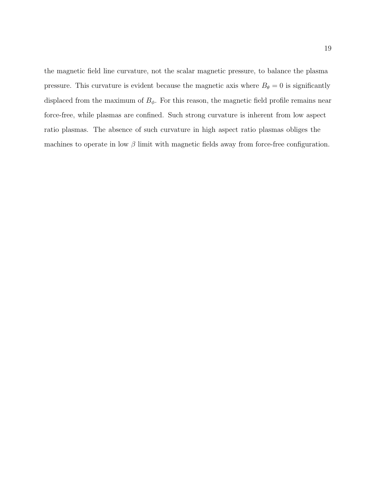the magnetic field line curvature, not the scalar magnetic pressure, to balance the plasma pressure. This curvature is evident because the magnetic axis where  $B_{\theta} = 0$  is significantly displaced from the maximum of  $B_{\phi}$ . For this reason, the magnetic field profile remains near force-free, while plasmas are confined. Such strong curvature is inherent from low aspect ratio plasmas. The absence of such curvature in high aspect ratio plasmas obliges the machines to operate in low  $\beta$  limit with magnetic fields away from force-free configuration.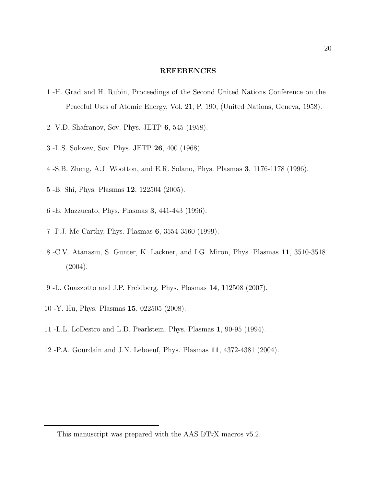### REFERENCES

- 1 -H. Grad and H. Rubin, Proceedings of the Second United Nations Conference on the Peaceful Uses of Atomic Energy, Vol. 21, P. 190, (United Nations, Geneva, 1958).
- 2 -V.D. Shafranov, Sov. Phys. JETP 6, 545 (1958).
- 3 -L.S. Solovev, Sov. Phys. JETP 26, 400 (1968).
- 4 -S.B. Zheng, A.J. Wootton, and E.R. Solano, Phys. Plasmas 3, 1176-1178 (1996).
- 5 -B. Shi, Phys. Plasmas 12, 122504 (2005).
- 6 -E. Mazzucato, Phys. Plasmas 3, 441-443 (1996).
- 7 -P.J. Mc Carthy, Phys. Plasmas 6, 3554-3560 (1999).
- 8 -C.V. Atanasiu, S. Gunter, K. Lackner, and I.G. Miron, Phys. Plasmas 11, 3510-3518  $(2004).$
- 9 -L. Guazzotto and J.P. Freidberg, Phys. Plasmas 14, 112508 (2007).
- 10 -Y. Hu, Phys. Plasmas 15, 022505 (2008).
- 11 -L.L. LoDestro and L.D. Pearlstein, Phys. Plasmas 1, 90-95 (1994).
- 12 -P.A. Gourdain and J.N. Leboeuf, Phys. Plasmas 11, 4372-4381 (2004).

This manuscript was prepared with the AAS IATEX macros v5.2.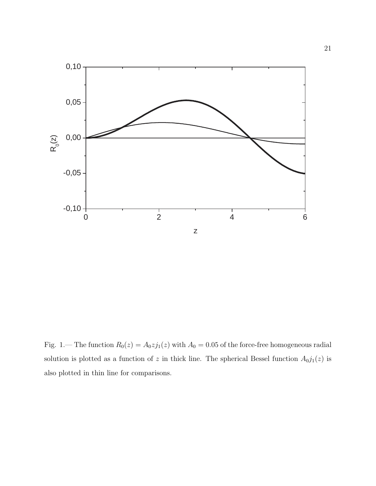

Fig. 1.— The function  $R_0(z) = A_0 z j_1(z)$  with  $A_0 = 0.05$  of the force-free homogeneous radial solution is plotted as a function of z in thick line. The spherical Bessel function  $A_0j_1(z)$  is also plotted in thin line for comparisons.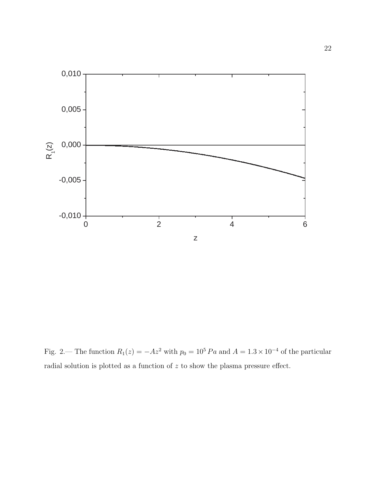

Fig. 2.— The function  $R_1(z) = -Az^2$  with  $p_0 = 10^5 Pa$  and  $A = 1.3 \times 10^{-4}$  of the particular radial solution is plotted as a function of z to show the plasma pressure effect.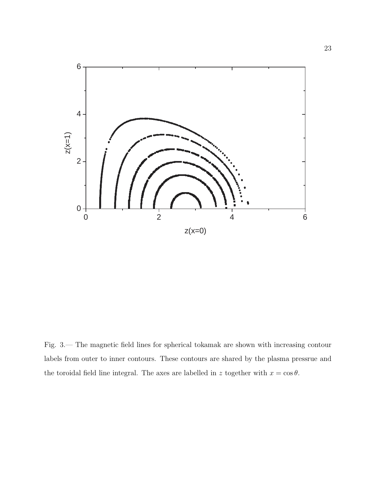

Fig. 3.— The magnetic field lines for spherical tokamak are shown with increasing contour labels from outer to inner contours. These contours are shared by the plasma pressrue and the toroidal field line integral. The axes are labelled in z together with  $x = \cos \theta$ .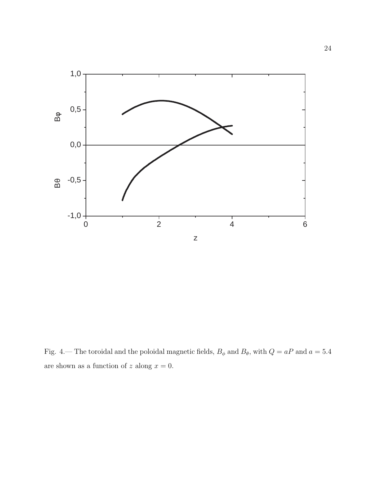

Fig. 4.— The toroidal and the poloidal magnetic fields,  $B_{\phi}$  and  $B_{\theta}$ , with  $Q = aP$  and  $a = 5.4$ are shown as a function of  $z$  along  $x = 0$ .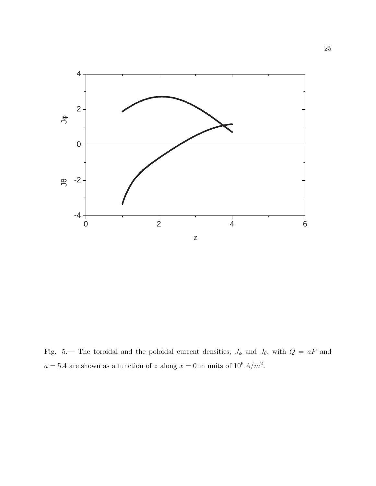

Fig. 5.— The toroidal and the poloidal current densities,  $J_{\phi}$  and  $J_{\theta}$ , with  $Q = aP$  and  $a = 5.4$  are shown as a function of z along  $x = 0$  in units of  $10^6 A/m^2$ .